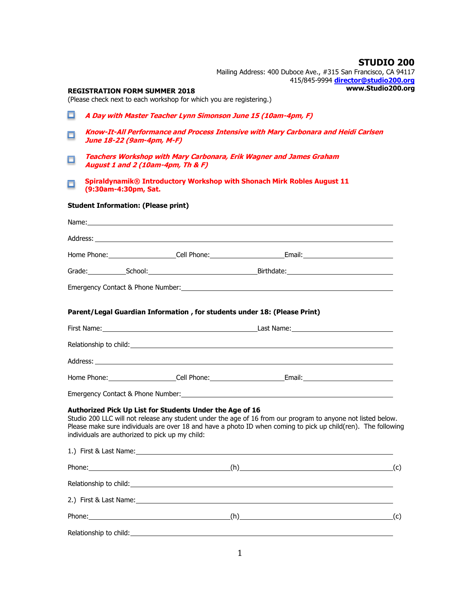|        |                                                                                                                  |  | Mailing Address: 400 Duboce Ave., #315 San Francisco, CA 94117                                                                                                                                                                 | <b>STUDIO 200</b> |  |
|--------|------------------------------------------------------------------------------------------------------------------|--|--------------------------------------------------------------------------------------------------------------------------------------------------------------------------------------------------------------------------------|-------------------|--|
|        |                                                                                                                  |  | 415/845-9994 director@studio200.org                                                                                                                                                                                            | www.Studio200.org |  |
|        | <b>REGISTRATION FORM SUMMER 2018</b><br>(Please check next to each workshop for which you are registering.)      |  |                                                                                                                                                                                                                                |                   |  |
| О      | A Day with Master Teacher Lynn Simonson June 15 (10am-4pm, F)                                                    |  |                                                                                                                                                                                                                                |                   |  |
| $\Box$ | Know-It-All Performance and Process Intensive with Mary Carbonara and Heidi Carlsen<br>June 18-22 (9am-4pm, M-F) |  |                                                                                                                                                                                                                                |                   |  |
| $\Box$ | August 1 and 2 (10am-4pm, Th & F)                                                                                |  | <b>Teachers Workshop with Mary Carbonara, Erik Wagner and James Graham</b>                                                                                                                                                     |                   |  |
| $\Box$ | (9:30am-4:30pm, Sat.                                                                                             |  | Spiraldynamik® Introductory Workshop with Shonach Mirk Robles August 11                                                                                                                                                        |                   |  |
|        | <b>Student Information: (Please print)</b>                                                                       |  |                                                                                                                                                                                                                                |                   |  |
|        |                                                                                                                  |  |                                                                                                                                                                                                                                |                   |  |
|        |                                                                                                                  |  |                                                                                                                                                                                                                                |                   |  |
|        |                                                                                                                  |  |                                                                                                                                                                                                                                |                   |  |
|        |                                                                                                                  |  |                                                                                                                                                                                                                                |                   |  |
|        |                                                                                                                  |  |                                                                                                                                                                                                                                |                   |  |
|        |                                                                                                                  |  |                                                                                                                                                                                                                                |                   |  |
|        | Parent/Legal Guardian Information, for students under 18: (Please Print)                                         |  |                                                                                                                                                                                                                                |                   |  |
|        |                                                                                                                  |  |                                                                                                                                                                                                                                |                   |  |
|        |                                                                                                                  |  | Relationship to child: example and a series of the series of the series of the series of the series of the series of the series of the series of the series of the series of the series of the series of the series of the ser |                   |  |
|        |                                                                                                                  |  |                                                                                                                                                                                                                                |                   |  |
|        |                                                                                                                  |  |                                                                                                                                                                                                                                |                   |  |
|        |                                                                                                                  |  |                                                                                                                                                                                                                                |                   |  |
|        | Authorized Pick Up List for Students Under the Age of 16<br>individuals are authorized to pick up my child:      |  | Studio 200 LLC will not release any student under the age of 16 from our program to anyone not listed below.<br>Please make sure individuals are over 18 and have a photo ID when coming to pick up child(ren). The following  |                   |  |
|        |                                                                                                                  |  |                                                                                                                                                                                                                                |                   |  |
|        |                                                                                                                  |  | Phone: (c)                                                                                                                                                                                                                     |                   |  |
|        |                                                                                                                  |  | Relationship to child: example and a series of the series of the series of the series of the series of the series of the series of the series of the series of the series of the series of the series of the series of the ser |                   |  |
|        |                                                                                                                  |  |                                                                                                                                                                                                                                |                   |  |
|        |                                                                                                                  |  | Phone: (c)                                                                                                                                                                                                                     |                   |  |
|        |                                                                                                                  |  |                                                                                                                                                                                                                                |                   |  |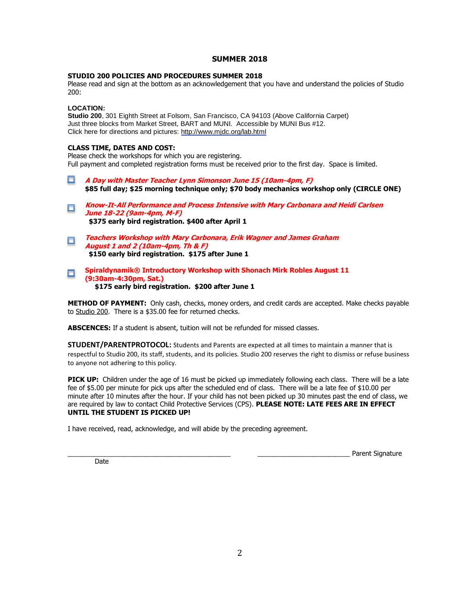# **SUMMER 2018**

### **STUDIO 200 POLICIES AND PROCEDURES SUMMER 2018**

Please read and sign at the bottom as an acknowledgement that you have and understand the policies of Studio 200:

## **LOCATION:**

**Studio 200**, 301 Eighth Street at Folsom, San Francisco, CA 94103 (Above California Carpet) Just three blocks from Market Street, BART and MUNI. Accessible by MUNI Bus #12. Click here for directions and pictures:<http://www.mjdc.org/lab.html>

### **CLASS TIME, DATES AND COST:**

Please check the workshops for which you are registering. Full payment and completed registration forms must be received prior to the first day. Space is limited.

- 0 **A Day with Master Teacher Lynn Simonson June 15 (10am-4pm, F) \$85 full day; \$25 morning technique only; \$70 body mechanics workshop only (CIRCLE ONE)**
- **Know-It-All Performance and Process Intensive with Mary Carbonara and Heidi Carlsen**   $\Box$ **June 18-22 (9am-4pm, M-F) \$375 early bird registration. \$400 after April 1**
- **Teachers Workshop with Mary Carbonara, Erik Wagner and James Graham**   $\Box$ **August 1 and 2 (10am-4pm, Th & F) \$150 early bird registration. \$175 after June 1**

#### **Spiraldynamik® Introductory Workshop with Shonach Mirk Robles August 11**   $\Box$ **(9:30am-4:30pm, Sat.) \$175 early bird registration. \$200 after June 1**

**METHOD OF PAYMENT:** Only cash, checks, money orders, and credit cards are accepted. Make checks payable to Studio 200.There is a \$35.00 fee for returned checks.

**ABSCENCES:** If a student is absent, tuition will not be refunded for missed classes.

**STUDENT/PARENTPROTOCOL:** Students and Parents are expected at all times to maintain a manner that is respectful to Studio 200, its staff, students, and its policies. Studio 200 reserves the right to dismiss or refuse business to anyone not adhering to this policy.

**PICK UP:** Children under the age of 16 must be picked up immediately following each class. There will be a late fee of \$5.00 per minute for pick ups after the scheduled end of class. There will be a late fee of \$10.00 per minute after 10 minutes after the hour. If your child has not been picked up 30 minutes past the end of class, we are required by law to contact Child Protective Services (CPS). **PLEASE NOTE: LATE FEES ARE IN EFFECT UNTIL THE STUDENT IS PICKED UP!**

I have received, read, acknowledge, and will abide by the preceding agreement.

\_\_\_\_\_\_\_\_\_\_\_\_\_\_\_\_\_\_\_\_\_\_\_\_\_\_\_\_\_\_\_\_\_\_\_\_\_\_\_\_\_\_\_\_ \_\_\_\_\_\_\_\_\_\_\_\_\_\_\_\_\_\_\_\_\_\_\_\_\_ Parent Signature

Date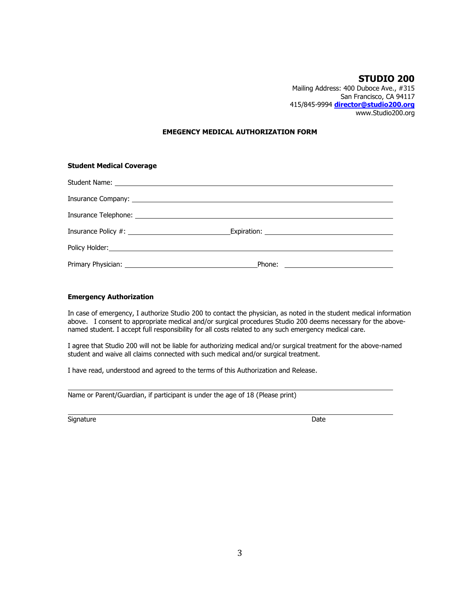## **STUDIO 200** Mailing Address: 400 Duboce Ave., #315 San Francisco, CA 94117 415/845-9994 **[director@studio200.org](mailto:director@studio200.org)** www.Studio200.org

### **EMEGENCY MEDICAL AUTHORIZATION FORM**

| <b>Student Medical Coverage</b> |  |  |  |  |  |
|---------------------------------|--|--|--|--|--|
|                                 |  |  |  |  |  |
|                                 |  |  |  |  |  |
|                                 |  |  |  |  |  |
|                                 |  |  |  |  |  |
|                                 |  |  |  |  |  |
|                                 |  |  |  |  |  |

### **Emergency Authorization**

In case of emergency, I authorize Studio 200 to contact the physician, as noted in the student medical information above. I consent to appropriate medical and/or surgical procedures Studio 200 deems necessary for the abovenamed student. I accept full responsibility for all costs related to any such emergency medical care.

I agree that Studio 200 will not be liable for authorizing medical and/or surgical treatment for the above-named student and waive all claims connected with such medical and/or surgical treatment.

I have read, understood and agreed to the terms of this Authorization and Release.

Name or Parent/Guardian, if participant is under the age of 18 (Please print)

Signature Date